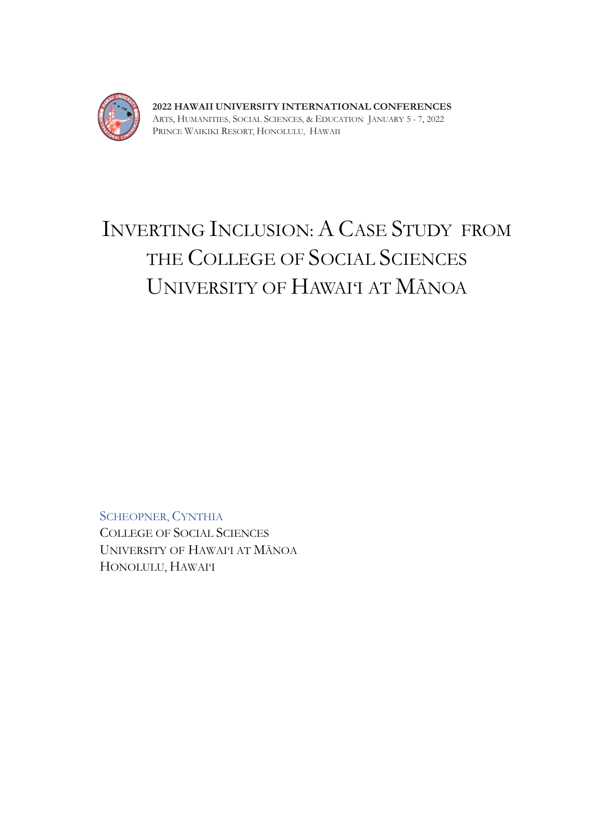

**2022 HAWAII UNIVERSITY INTERNATIONAL CONFERENCES**  ARTS, HUMANITIES, SOCIAL SCIENCES, & EDUCATION JANUARY 5 - 7, 2022 PRINCE WAIKIKI RESORT, HONOLULU, HAWAII

## INVERTING INCLUSION: A CASE STUDY FROM THE COLLEGE OF SOCIAL SCIENCES UNIVERSITY OF HAWAI'I AT MĀNOA

SCHEOPNER, CYNTHIA COLLEGE OF SOCIAL SCIENCES UNIVERSITY OF HAWAI'I AT MĀNOA HONOLULU, HAWAI'I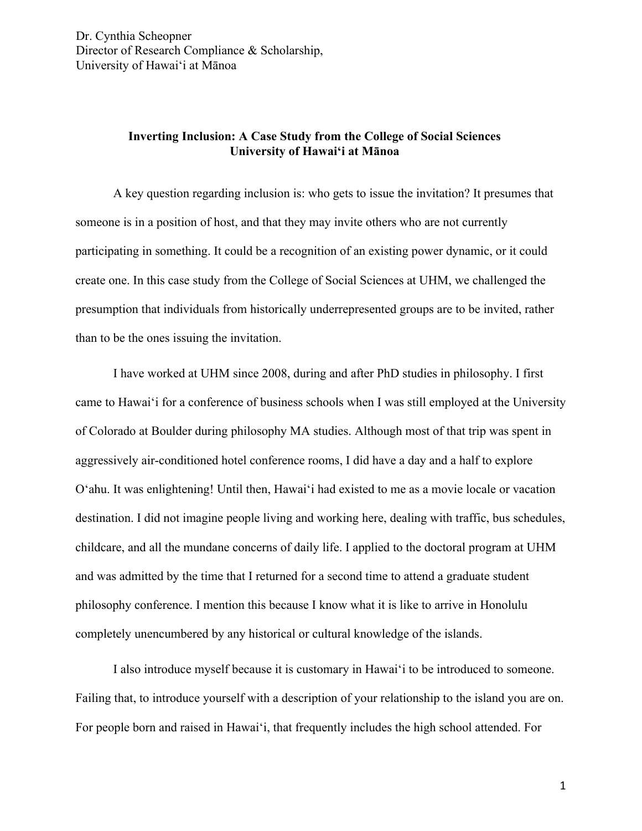Dr. Cynthia Scheopner Director of Research Compliance & Scholarship, University of Hawai'i at Mānoa

## **Inverting Inclusion: A Case Study from the College of Social Sciences University of Hawai'i at Mānoa**

A key question regarding inclusion is: who gets to issue the invitation? It presumes that someone is in a position of host, and that they may invite others who are not currently participating in something. It could be a recognition of an existing power dynamic, or it could create one. In this case study from the College of Social Sciences at UHM, we challenged the presumption that individuals from historically underrepresented groups are to be invited, rather than to be the ones issuing the invitation.

I have worked at UHM since 2008, during and after PhD studies in philosophy. I first came to Hawai'i for a conference of business schools when I was still employed at the University of Colorado at Boulder during philosophy MA studies. Although most of that trip was spent in aggressively air-conditioned hotel conference rooms, I did have a day and a half to explore O'ahu. It was enlightening! Until then, Hawai'i had existed to me as a movie locale or vacation destination. I did not imagine people living and working here, dealing with traffic, bus schedules, childcare, and all the mundane concerns of daily life. I applied to the doctoral program at UHM and was admitted by the time that I returned for a second time to attend a graduate student philosophy conference. I mention this because I know what it is like to arrive in Honolulu completely unencumbered by any historical or cultural knowledge of the islands.

I also introduce myself because it is customary in Hawai'i to be introduced to someone. Failing that, to introduce yourself with a description of your relationship to the island you are on. For people born and raised in Hawai'i, that frequently includes the high school attended. For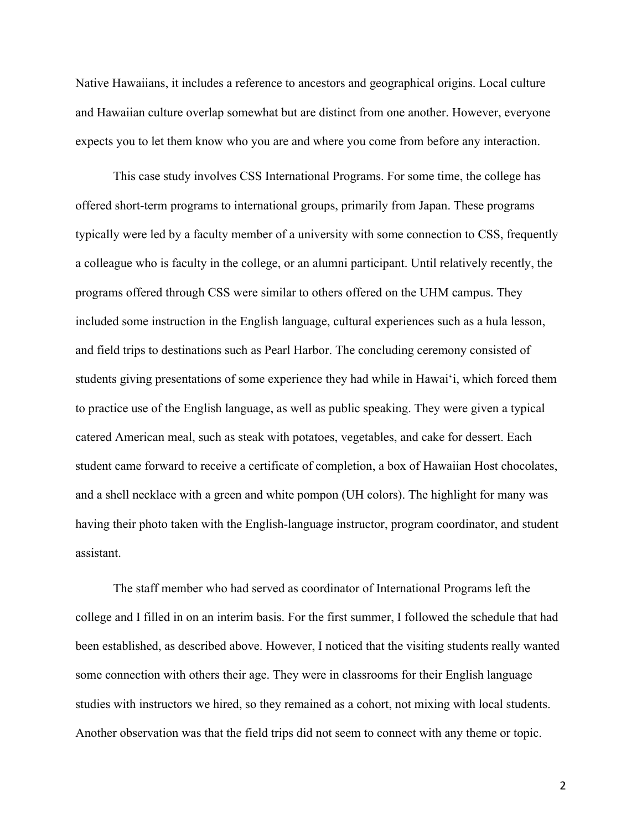Native Hawaiians, it includes a reference to ancestors and geographical origins. Local culture and Hawaiian culture overlap somewhat but are distinct from one another. However, everyone expects you to let them know who you are and where you come from before any interaction.

This case study involves CSS International Programs. For some time, the college has offered short-term programs to international groups, primarily from Japan. These programs typically were led by a faculty member of a university with some connection to CSS, frequently a colleague who is faculty in the college, or an alumni participant. Until relatively recently, the programs offered through CSS were similar to others offered on the UHM campus. They included some instruction in the English language, cultural experiences such as a hula lesson, and field trips to destinations such as Pearl Harbor. The concluding ceremony consisted of students giving presentations of some experience they had while in Hawai'i, which forced them to practice use of the English language, as well as public speaking. They were given a typical catered American meal, such as steak with potatoes, vegetables, and cake for dessert. Each student came forward to receive a certificate of completion, a box of Hawaiian Host chocolates, and a shell necklace with a green and white pompon (UH colors). The highlight for many was having their photo taken with the English-language instructor, program coordinator, and student assistant.

The staff member who had served as coordinator of International Programs left the college and I filled in on an interim basis. For the first summer, I followed the schedule that had been established, as described above. However, I noticed that the visiting students really wanted some connection with others their age. They were in classrooms for their English language studies with instructors we hired, so they remained as a cohort, not mixing with local students. Another observation was that the field trips did not seem to connect with any theme or topic.

2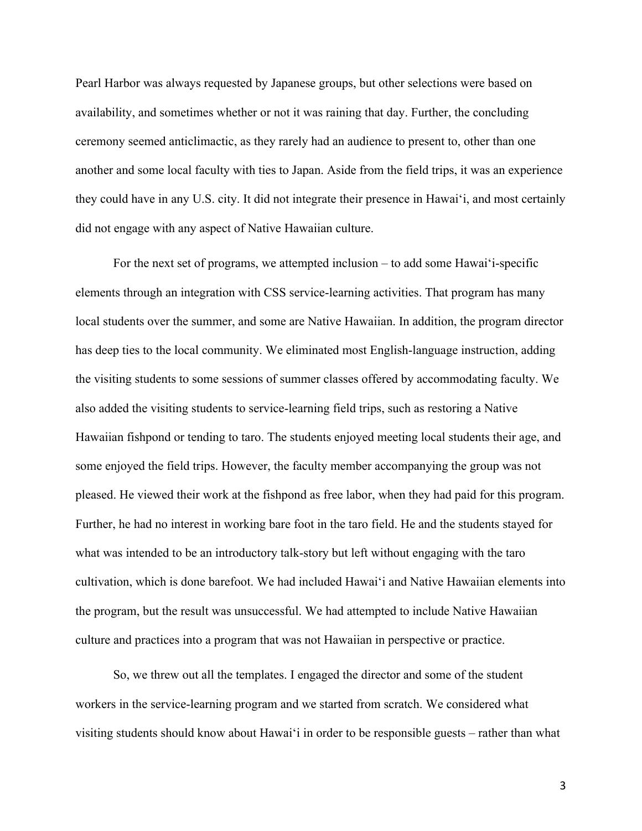Pearl Harbor was always requested by Japanese groups, but other selections were based on availability, and sometimes whether or not it was raining that day. Further, the concluding ceremony seemed anticlimactic, as they rarely had an audience to present to, other than one another and some local faculty with ties to Japan. Aside from the field trips, it was an experience they could have in any U.S. city. It did not integrate their presence in Hawai'i, and most certainly did not engage with any aspect of Native Hawaiian culture.

For the next set of programs, we attempted inclusion – to add some Hawai'i-specific elements through an integration with CSS service-learning activities. That program has many local students over the summer, and some are Native Hawaiian. In addition, the program director has deep ties to the local community. We eliminated most English-language instruction, adding the visiting students to some sessions of summer classes offered by accommodating faculty. We also added the visiting students to service-learning field trips, such as restoring a Native Hawaiian fishpond or tending to taro. The students enjoyed meeting local students their age, and some enjoyed the field trips. However, the faculty member accompanying the group was not pleased. He viewed their work at the fishpond as free labor, when they had paid for this program. Further, he had no interest in working bare foot in the taro field. He and the students stayed for what was intended to be an introductory talk-story but left without engaging with the taro cultivation, which is done barefoot. We had included Hawai'i and Native Hawaiian elements into the program, but the result was unsuccessful. We had attempted to include Native Hawaiian culture and practices into a program that was not Hawaiian in perspective or practice.

So, we threw out all the templates. I engaged the director and some of the student workers in the service-learning program and we started from scratch. We considered what visiting students should know about Hawai'i in order to be responsible guests – rather than what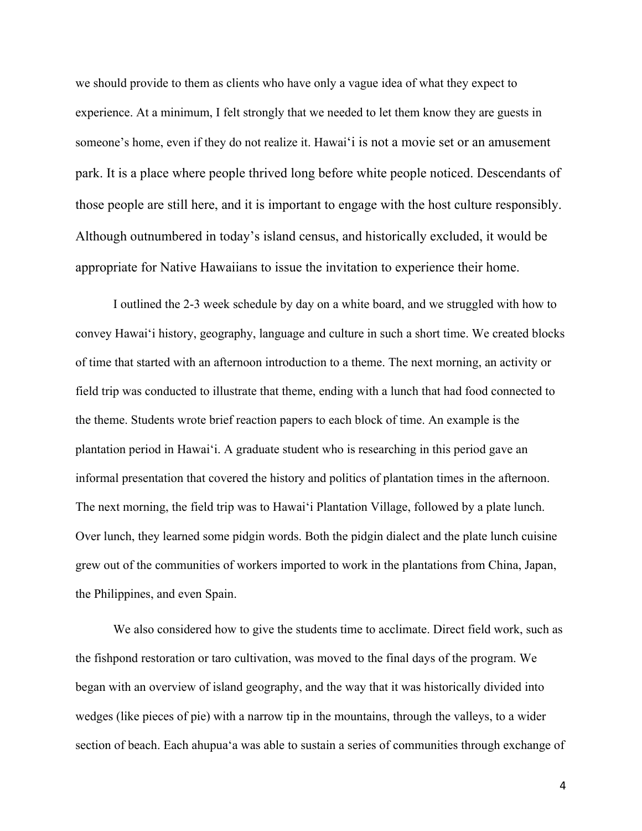we should provide to them as clients who have only a vague idea of what they expect to experience. At a minimum, I felt strongly that we needed to let them know they are guests in someone's home, even if they do not realize it. Hawai'i is not a movie set or an amusement park. It is a place where people thrived long before white people noticed. Descendants of those people are still here, and it is important to engage with the host culture responsibly. Although outnumbered in today's island census, and historically excluded, it would be appropriate for Native Hawaiians to issue the invitation to experience their home.

I outlined the 2-3 week schedule by day on a white board, and we struggled with how to convey Hawai'i history, geography, language and culture in such a short time. We created blocks of time that started with an afternoon introduction to a theme. The next morning, an activity or field trip was conducted to illustrate that theme, ending with a lunch that had food connected to the theme. Students wrote brief reaction papers to each block of time. An example is the plantation period in Hawai'i. A graduate student who is researching in this period gave an informal presentation that covered the history and politics of plantation times in the afternoon. The next morning, the field trip was to Hawai'i Plantation Village, followed by a plate lunch. Over lunch, they learned some pidgin words. Both the pidgin dialect and the plate lunch cuisine grew out of the communities of workers imported to work in the plantations from China, Japan, the Philippines, and even Spain.

We also considered how to give the students time to acclimate. Direct field work, such as the fishpond restoration or taro cultivation, was moved to the final days of the program. We began with an overview of island geography, and the way that it was historically divided into wedges (like pieces of pie) with a narrow tip in the mountains, through the valleys, to a wider section of beach. Each ahupua'a was able to sustain a series of communities through exchange of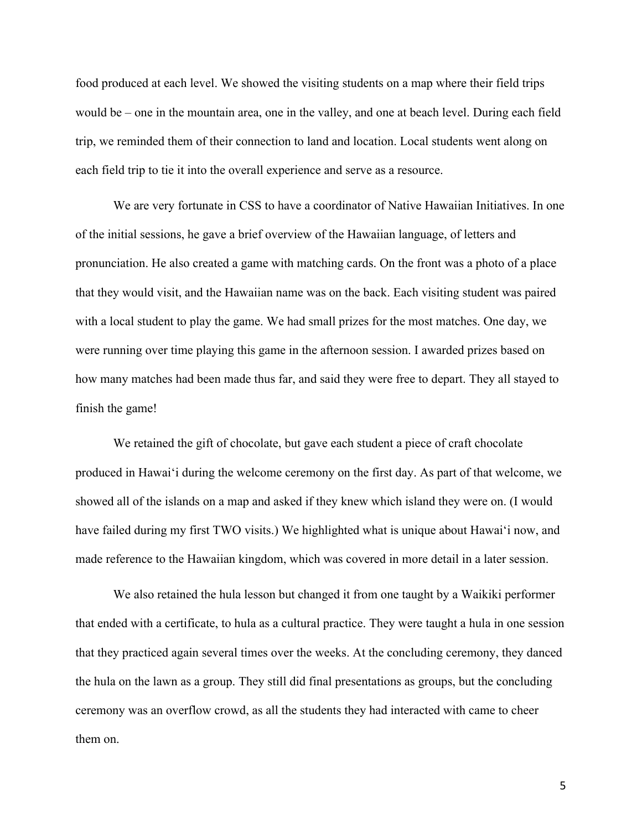food produced at each level. We showed the visiting students on a map where their field trips would be – one in the mountain area, one in the valley, and one at beach level. During each field trip, we reminded them of their connection to land and location. Local students went along on each field trip to tie it into the overall experience and serve as a resource.

We are very fortunate in CSS to have a coordinator of Native Hawaiian Initiatives. In one of the initial sessions, he gave a brief overview of the Hawaiian language, of letters and pronunciation. He also created a game with matching cards. On the front was a photo of a place that they would visit, and the Hawaiian name was on the back. Each visiting student was paired with a local student to play the game. We had small prizes for the most matches. One day, we were running over time playing this game in the afternoon session. I awarded prizes based on how many matches had been made thus far, and said they were free to depart. They all stayed to finish the game!

We retained the gift of chocolate, but gave each student a piece of craft chocolate produced in Hawai'i during the welcome ceremony on the first day. As part of that welcome, we showed all of the islands on a map and asked if they knew which island they were on. (I would have failed during my first TWO visits.) We highlighted what is unique about Hawai'i now, and made reference to the Hawaiian kingdom, which was covered in more detail in a later session.

We also retained the hula lesson but changed it from one taught by a Waikiki performer that ended with a certificate, to hula as a cultural practice. They were taught a hula in one session that they practiced again several times over the weeks. At the concluding ceremony, they danced the hula on the lawn as a group. They still did final presentations as groups, but the concluding ceremony was an overflow crowd, as all the students they had interacted with came to cheer them on.

5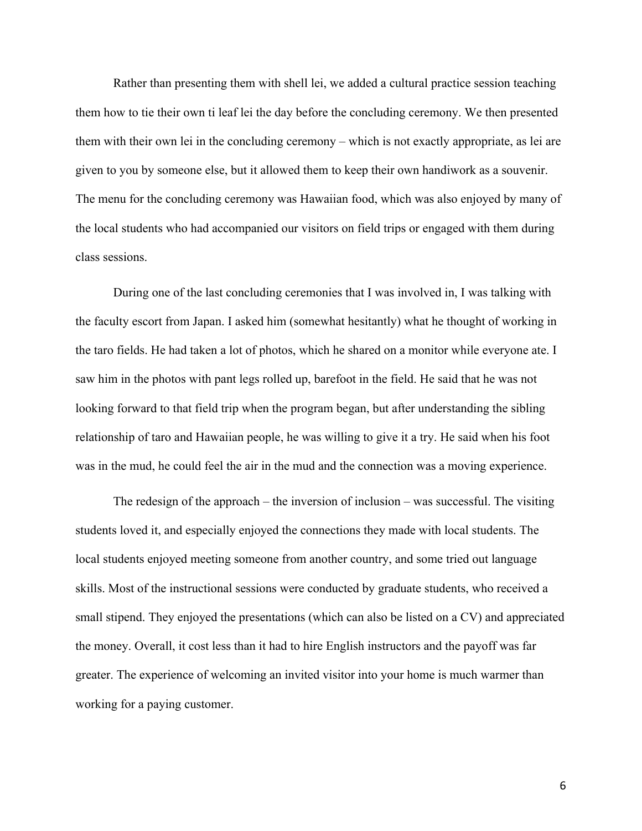Rather than presenting them with shell lei, we added a cultural practice session teaching them how to tie their own ti leaf lei the day before the concluding ceremony. We then presented them with their own lei in the concluding ceremony – which is not exactly appropriate, as lei are given to you by someone else, but it allowed them to keep their own handiwork as a souvenir. The menu for the concluding ceremony was Hawaiian food, which was also enjoyed by many of the local students who had accompanied our visitors on field trips or engaged with them during class sessions.

During one of the last concluding ceremonies that I was involved in, I was talking with the faculty escort from Japan. I asked him (somewhat hesitantly) what he thought of working in the taro fields. He had taken a lot of photos, which he shared on a monitor while everyone ate. I saw him in the photos with pant legs rolled up, barefoot in the field. He said that he was not looking forward to that field trip when the program began, but after understanding the sibling relationship of taro and Hawaiian people, he was willing to give it a try. He said when his foot was in the mud, he could feel the air in the mud and the connection was a moving experience.

The redesign of the approach – the inversion of inclusion – was successful. The visiting students loved it, and especially enjoyed the connections they made with local students. The local students enjoyed meeting someone from another country, and some tried out language skills. Most of the instructional sessions were conducted by graduate students, who received a small stipend. They enjoyed the presentations (which can also be listed on a CV) and appreciated the money. Overall, it cost less than it had to hire English instructors and the payoff was far greater. The experience of welcoming an invited visitor into your home is much warmer than working for a paying customer.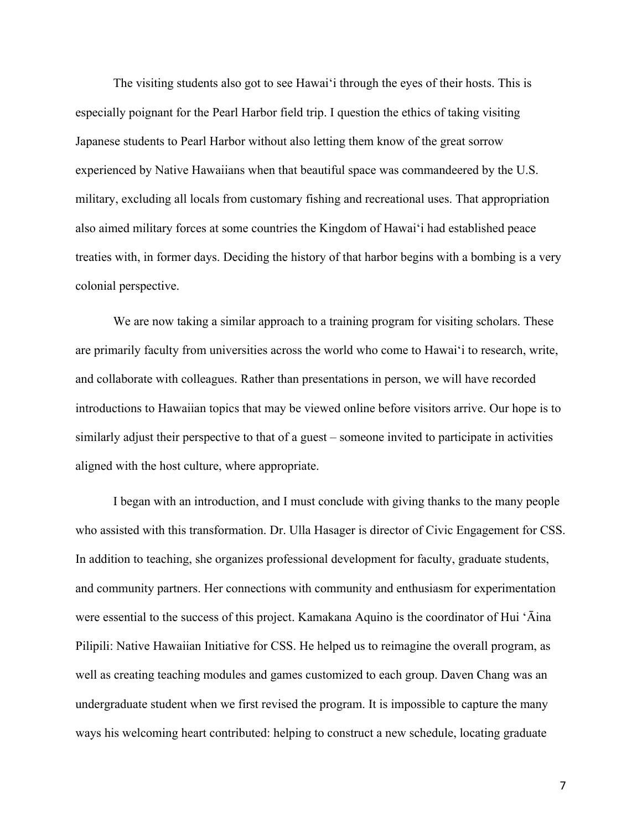The visiting students also got to see Hawai'i through the eyes of their hosts. This is especially poignant for the Pearl Harbor field trip. I question the ethics of taking visiting Japanese students to Pearl Harbor without also letting them know of the great sorrow experienced by Native Hawaiians when that beautiful space was commandeered by the U.S. military, excluding all locals from customary fishing and recreational uses. That appropriation also aimed military forces at some countries the Kingdom of Hawai'i had established peace treaties with, in former days. Deciding the history of that harbor begins with a bombing is a very colonial perspective.

We are now taking a similar approach to a training program for visiting scholars. These are primarily faculty from universities across the world who come to Hawai'i to research, write, and collaborate with colleagues. Rather than presentations in person, we will have recorded introductions to Hawaiian topics that may be viewed online before visitors arrive. Our hope is to similarly adjust their perspective to that of a guest – someone invited to participate in activities aligned with the host culture, where appropriate.

I began with an introduction, and I must conclude with giving thanks to the many people who assisted with this transformation. Dr. Ulla Hasager is director of Civic Engagement for CSS. In addition to teaching, she organizes professional development for faculty, graduate students, and community partners. Her connections with community and enthusiasm for experimentation were essential to the success of this project. Kamakana Aquino is the coordinator of Hui 'Āina Pilipili: Native Hawaiian Initiative for CSS. He helped us to reimagine the overall program, as well as creating teaching modules and games customized to each group. Daven Chang was an undergraduate student when we first revised the program. It is impossible to capture the many ways his welcoming heart contributed: helping to construct a new schedule, locating graduate